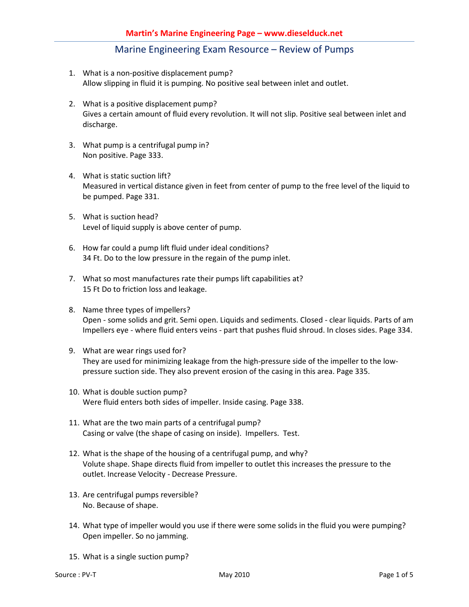- 1. What is a non-positive displacement pump? Allow slipping in fluid it is pumping. No positive seal between inlet and outlet.
- 2. What is a positive displacement pump? Gives a certain amount of fluid every revolution. It will not slip. Positive seal between inlet and discharge.
- 3. What pump is a centrifugal pump in? Non positive. Page 333.
- 4. What is static suction lift? Measured in vertical distance given in feet from center of pump to the free level of the liquid to be pumped. Page 331.
- 5. What is suction head? Level of liquid supply is above center of pump.
- 6. How far could a pump lift fluid under ideal conditions? 34 Ft. Do to the low pressure in the regain of the pump inlet.
- 7. What so most manufactures rate their pumps lift capabilities at? 15 Ft Do to friction loss and leakage.
- 8. Name three types of impellers? Open - some solids and grit. Semi open. Liquids and sediments. Closed - clear liquids. Parts of am Impellers eye - where fluid enters veins - part that pushes fluid shroud. In closes sides. Page 334.
- 9. What are wear rings used for? They are used for minimizing leakage from the high-pressure side of the impeller to the lowpressure suction side. They also prevent erosion of the casing in this area. Page 335.
- 10. What is double suction pump? Were fluid enters both sides of impeller. Inside casing. Page 338.
- 11. What are the two main parts of a centrifugal pump? Casing or valve (the shape of casing on inside). Impellers. Test.
- 12. What is the shape of the housing of a centrifugal pump, and why? Volute shape. Shape directs fluid from impeller to outlet this increases the pressure to the outlet. Increase Velocity - Decrease Pressure.
- 13. Are centrifugal pumps reversible? No. Because of shape.
- 14. What type of impeller would you use if there were some solids in the fluid you were pumping? Open impeller. So no jamming.
- 15. What is a single suction pump?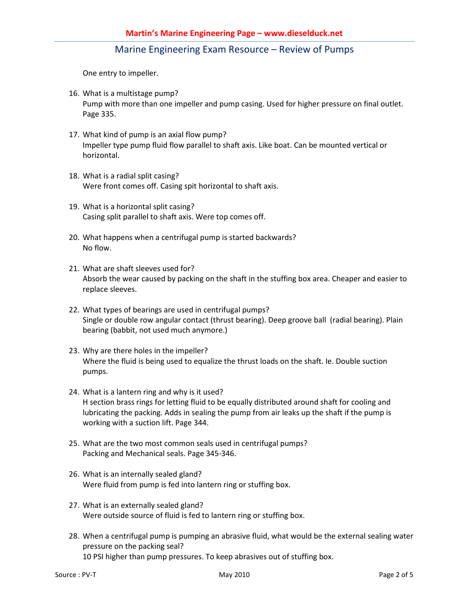One entry to impeller.

- 16. What is a multistage pump? Pump with more than one impeller and pump casing. Used for higher pressure on final outlet. Page 335.
- 17. What kind of pump is an axial flow pump? Impeller type pump fluid flow parallel to shaft axis. Like boat. Can be mounted vertical or horizontal.
- 18. What is a radial split casing? Were front comes off. Casing spit horizontal to shaft axis.
- 19. What is a horizontal split casing? Casing split parallel to shaft axis. Were top comes off.
- 20. What happens when a centrifugal pump is started backwards? No flow.
- 21. What are shaft sleeves used for? Absorb the wear caused by packing on the shaft in the stuffing box area. Cheaper and easier to replace sleeves.
- 22. What types of bearings are used in centrifugal pumps? Single or double row angular contact (thrust bearing). Deep groove ball (radial bearing). Plain bearing (babbit, not used much anymore.)
- 23. Why are there holes in the impeller? Where the fluid is being used to equalize the thrust loads on the shaft. Ie. Double suction pumps.
- 24. What is a lantern ring and why is it used? H section brass rings for letting fluid to be equally distributed around shaft for cooling and lubricating the packing. Adds in sealing the pump from air leaks up the shaft if the pump is working with a suction lift. Page 344.
- 25. What are the two most common seals used in centrifugal pumps? Packing and Mechanical seals. Page 345-346.
- 26. What is an internally sealed gland? Were fluid from pump is fed into lantern ring or stuffing box.
- 27. What is an externally sealed gland? Were outside source of fluid is fed to lantern ring or stuffing box.
- 28. When a centrifugal pump is pumping an abrasive fluid, what would be the external sealing water pressure on the packing seal? 10 PSI higher than pump pressures. To keep abrasives out of stuffing box.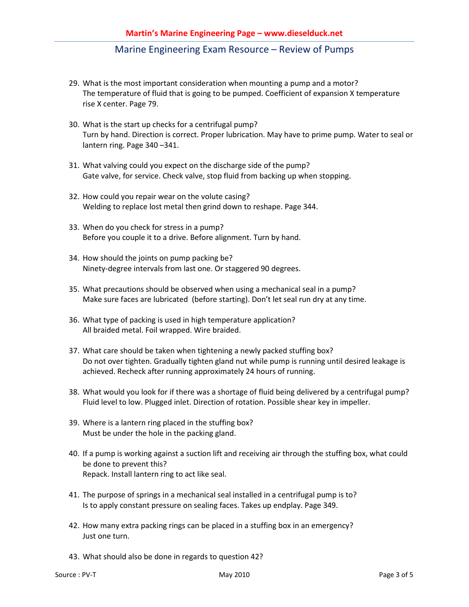- 29. What is the most important consideration when mounting a pump and a motor? The temperature of fluid that is going to be pumped. Coefficient of expansion X temperature rise X center. Page 79.
- 30. What is the start up checks for a centrifugal pump? Turn by hand. Direction is correct. Proper lubrication. May have to prime pump. Water to seal or lantern ring. Page 340 –341.
- 31. What valving could you expect on the discharge side of the pump? Gate valve, for service. Check valve, stop fluid from backing up when stopping.
- 32. How could you repair wear on the volute casing? Welding to replace lost metal then grind down to reshape. Page 344.
- 33. When do you check for stress in a pump? Before you couple it to a drive. Before alignment. Turn by hand.
- 34. How should the joints on pump packing be? Ninety-degree intervals from last one. Or staggered 90 degrees.
- 35. What precautions should be observed when using a mechanical seal in a pump? Make sure faces are lubricated (before starting). Don't let seal run dry at any time.
- 36. What type of packing is used in high temperature application? All braided metal. Foil wrapped. Wire braided.
- 37. What care should be taken when tightening a newly packed stuffing box? Do not over tighten. Gradually tighten gland nut while pump is running until desired leakage is achieved. Recheck after running approximately 24 hours of running.
- 38. What would you look for if there was a shortage of fluid being delivered by a centrifugal pump? Fluid level to low. Plugged inlet. Direction of rotation. Possible shear key in impeller.
- 39. Where is a lantern ring placed in the stuffing box? Must be under the hole in the packing gland.
- 40. If a pump is working against a suction lift and receiving air through the stuffing box, what could be done to prevent this? Repack. Install lantern ring to act like seal.
- 41. The purpose of springs in a mechanical seal installed in a centrifugal pump is to? Is to apply constant pressure on sealing faces. Takes up endplay. Page 349.
- 42. How many extra packing rings can be placed in a stuffing box in an emergency? Just one turn.
- 43. What should also be done in regards to question 42?